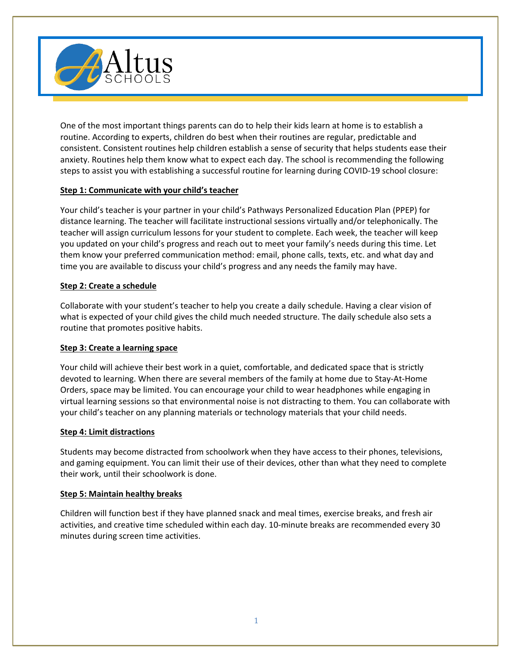

One of the most important things parents can do to help their kids learn at home is to establish a routine. According to experts, children do best when their routines are regular, predictable and consistent. Consistent routines help children establish a sense of security that helps students ease their anxiety. Routines help them know what to expect each day. The school is recommending the following steps to assist you with establishing a successful routine for learning during COVID-19 school closure:

# **Step 1: Communicate with your child's teacher**

Your child's teacher is your partner in your child's Pathways Personalized Education Plan (PPEP) for distance learning. The teacher will facilitate instructional sessions virtually and/or telephonically. The teacher will assign curriculum lessons for your student to complete. Each week, the teacher will keep you updated on your child's progress and reach out to meet your family's needs during this time. Let them know your preferred communication method: email, phone calls, texts, etc. and what day and time you are available to discuss your child's progress and any needs the family may have.

# **Step 2: Create a schedule**

Collaborate with your student's teacher to help you create a daily schedule. Having a clear vision of what is expected of your child gives the child much needed structure. The daily schedule also sets a routine that promotes positive habits.

# **Step 3: Create a learning space**

Your child will achieve their best work in a quiet, comfortable, and dedicated space that is strictly devoted to learning. When there are several members of the family at home due to Stay-At-Home Orders, space may be limited. You can encourage your child to wear headphones while engaging in virtual learning sessions so that environmental noise is not distracting to them. You can collaborate with your child's teacher on any planning materials or technology materials that your child needs.

### **Step 4: Limit distractions**

Students may become distracted from schoolwork when they have access to their phones, televisions, and gaming equipment. You can limit their use of their devices, other than what they need to complete their work, until their schoolwork is done.

### **Step 5: Maintain healthy breaks**

Children will function best if they have planned snack and meal times, exercise breaks, and fresh air activities, and creative time scheduled within each day. 10-minute breaks are recommended every 30 minutes during screen time activities.